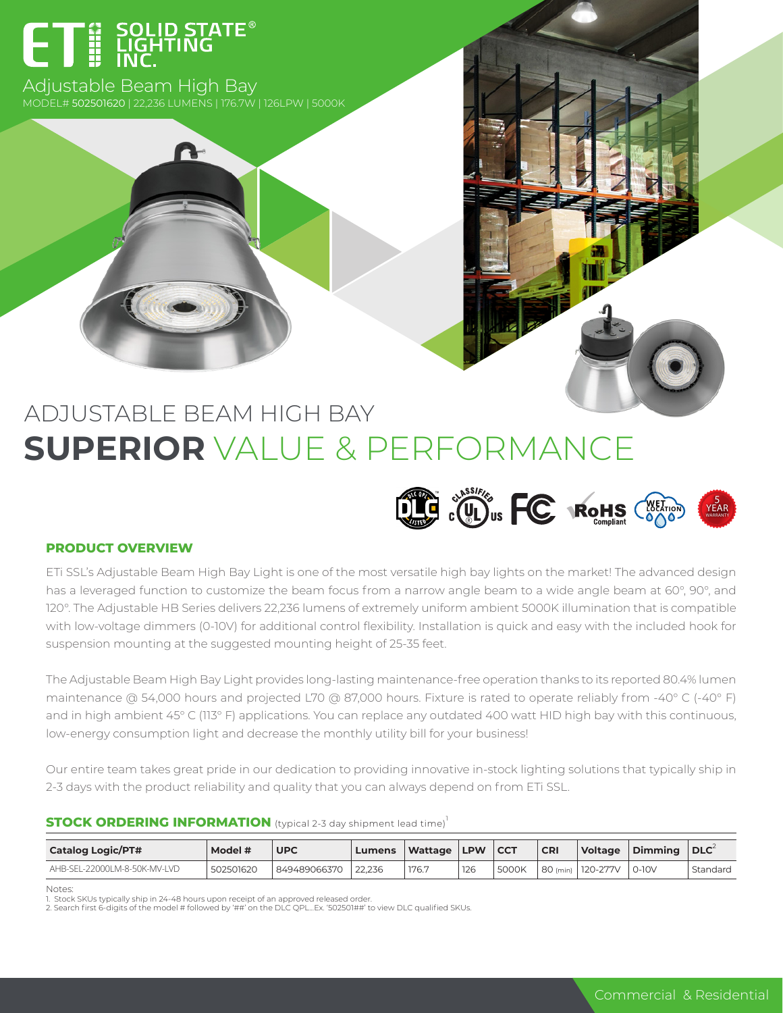# **EL SOLID STATE®**<br>HI LIGHTING<br>HI INC

Adjustable Beam High Bay MODEL# 502501620 | 22,236 LUMENS | 176.7W | 126LPW | 5000K





## ADJUSTABLE BEAM HIGH BAY **SUPERIOR** VALUE & PERFORMANCE



#### **PRODUCT OVERVIEW**

ETi SSL's Adjustable Beam High Bay Light is one of the most versatile high bay lights on the market! The advanced design has a leveraged function to customize the beam focus from a narrow angle beam to a wide angle beam at 60°, 90°, and 120°. The Adjustable HB Series delivers 22,236 lumens of extremely uniform ambient 5000K illumination that is compatible with low-voltage dimmers (0-10V) for additional control flexibility. Installation is quick and easy with the included hook for suspension mounting at the suggested mounting height of 25-35 feet.

The Adjustable Beam High Bay Light provides long-lasting maintenance-free operation thanks to its reported 80.4% lumen maintenance @ 54,000 hours and projected L70 @ 87,000 hours. Fixture is rated to operate reliably from -40° C (-40° F) and in high ambient 45° C (113° F) applications. You can replace any outdated 400 watt HID high bay with this continuous, low-energy consumption light and decrease the monthly utility bill for your business!

Our entire team takes great pride in our dedication to providing innovative in-stock lighting solutions that typically ship in 2-3 days with the product reliability and quality that you can always depend on from ETi SSL.

### **STOCK ORDERING INFORMATION** (typical 2-3 day shipment lead time)<sup>1</sup>

| <b>Catalog Logic/PT#</b>     | Model #   | <b>UPC</b>   | Lumens | Wattage LPW |     | <sub>CC</sub> | CR |                         | Voltage   Dimming | DLC      |
|------------------------------|-----------|--------------|--------|-------------|-----|---------------|----|-------------------------|-------------------|----------|
| AHB-SEL-22000LM-8-50K-MV-LVD | 502501620 | 849489066370 | 22.236 | 176.7       | 126 | 5000K         |    | 80 (min) 120-277V 0-10V |                   | Standard |

Notes:

1. Stock SKUs typically ship in 24-48 hours upon receipt of an approved released order.

2. Search first 6-digits of the model # followed by '##' on the DLC QPL...Ex. '502501##' to view DLC qualified SKUs.